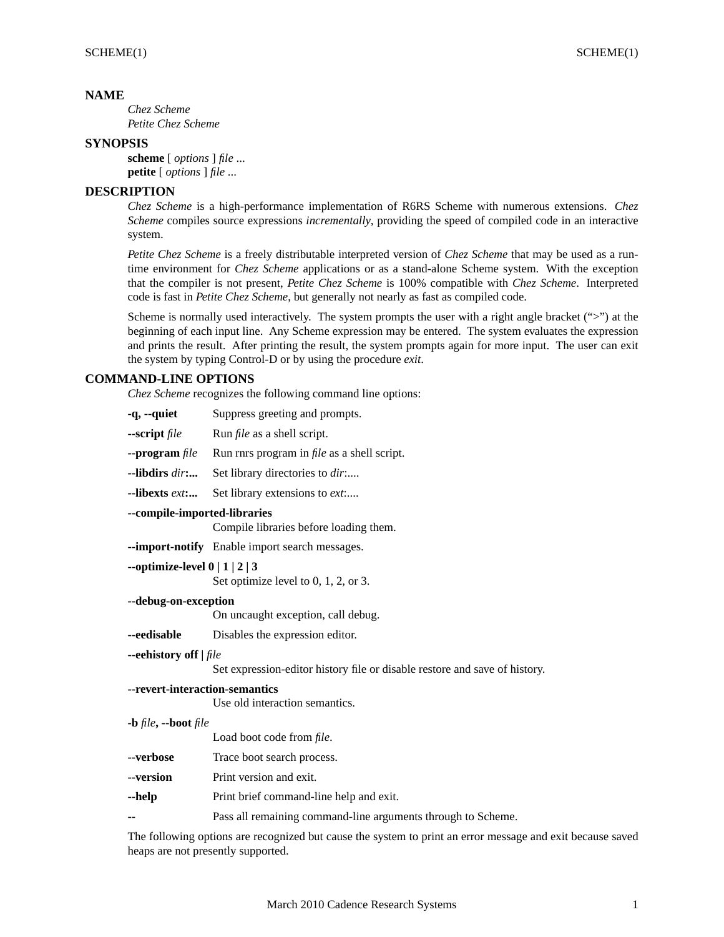## **NAME**

*Chez Scheme Petite Chez Scheme*

## **SYNOPSIS**

**scheme** [ *options* ] *file* ... **petite** [ *options* ] *file* ...

# **DESCRIPTION**

*Chez Scheme* is a high-performance implementation of R6RS Scheme with numerous extensions. *Chez Scheme* compiles source expressions *incrementally*, providing the speed of compiled code in an interactive system.

*Petite Chez Scheme* is a freely distributable interpreted version of *Chez Scheme* that may be used as a runtime environment for *Chez Scheme* applications or as a stand-alone Scheme system. With the exception that the compiler is not present, *Petite Chez Scheme* is 100% compatible with *Chez Scheme*. Interpreted code is fast in *Petite Chez Scheme*, but generally not nearly as fast as compiled code.

Scheme is normally used interactively. The system prompts the user with a right angle bracket (">") at the beginning of each input line. Any Scheme expression may be entered. The system evaluates the expression and prints the result. After printing the result, the system prompts again for more input. The user can exit the system by typing Control-D or by using the procedure *exit*.

## **COMMAND-LINE OPTIONS**

*Chez Scheme* recognizes the following command line options:

| $-q$ , $-quiet$                                                        | Suppress greeting and prompts.                                                          |  |
|------------------------------------------------------------------------|-----------------------------------------------------------------------------------------|--|
| --script file                                                          | Run <i>file</i> as a shell script.                                                      |  |
| $\n   - program file$                                                  | Run rnrs program in <i>file</i> as a shell script.                                      |  |
| --libdirs dir:                                                         | Set library directories to dir                                                          |  |
| --libexts ext:                                                         | Set library extensions to <i>ext</i> :                                                  |  |
| --compile-imported-libraries<br>Compile libraries before loading them. |                                                                                         |  |
|                                                                        | --import-notify Enable import search messages.                                          |  |
| --optimize-level $0   1   2   3$                                       | Set optimize level to $0, 1, 2$ , or 3.                                                 |  |
| --debug-on-exception<br>On uncaught exception, call debug.             |                                                                                         |  |
| --eedisable                                                            | Disables the expression editor.                                                         |  |
| --eehistory off   file                                                 |                                                                                         |  |
|                                                                        | Set expression-editor history file or disable restore and save of history.              |  |
| --revert-interaction-semantics                                         | Use old interaction semantics.                                                          |  |
| $-b$ file, $-b$ oot file                                               | Load boot code from file.                                                               |  |
| --verbose                                                              | Trace boot search process.                                                              |  |
| --version                                                              | Print version and exit.                                                                 |  |
| --help                                                                 | Print brief command-line help and exit.                                                 |  |
|                                                                        | Pass all remaining command-line arguments through to Scheme.                            |  |
|                                                                        | The following options are recognized but cause the system to print an error message and |  |

The following options are recognized but cause the system to print an error message and exit because saved heaps are not presently supported.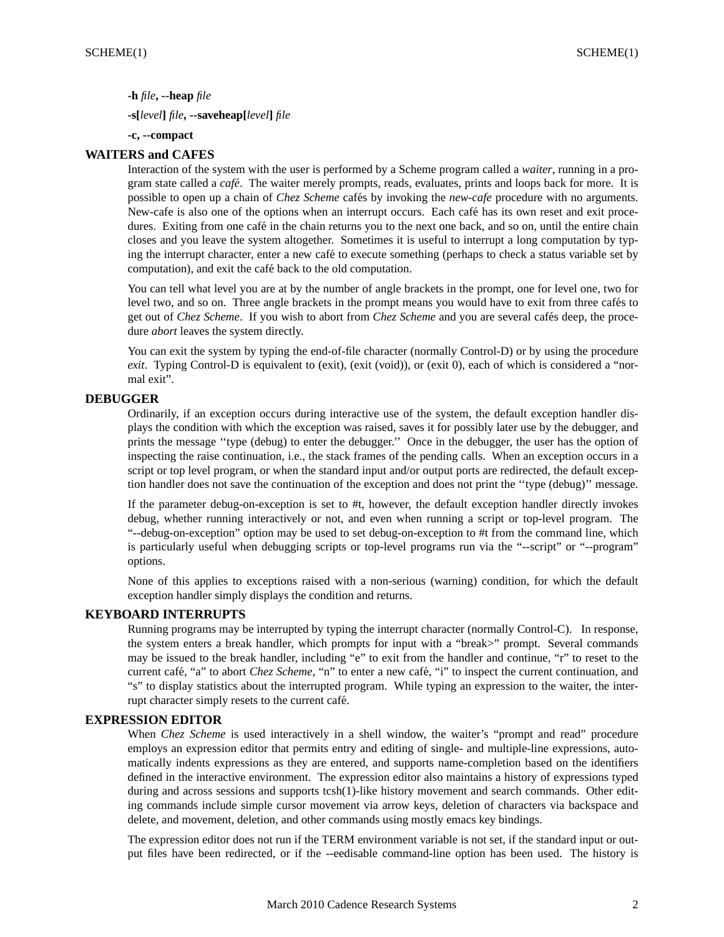**-h** *file***, --heap** *file*

**-s[***level***]** *file***, --saveheap[***level***]** *file*

**-c, --compact**

### **WAITERS and CAFES**

Interaction of the system with the user is performed by a Scheme program called a *waiter*, running in a program state called a *café*. The waiter merely prompts, reads, evaluates, prints and loops back for more. It is possible to open up a chain of *Chez Scheme* cafés by invoking the *new-cafe* procedure with no arguments. New-cafe is also one of the options when an interrupt occurs. Each café has its own reset and exit procedures. Exiting from one café in the chain returns you to the next one back, and so on, until the entire chain closes and you leave the system altogether. Sometimes it is useful to interrupt a long computation by typing the interrupt character, enter a new café to execute something (perhaps to check a status variable set by computation), and exit the café back to the old computation.

You can tell what level you are at by the number of angle brackets in the prompt, one for level one, two for level two, and so on. Three angle brackets in the prompt means you would have to exit from three cafés to get out of *Chez Scheme*. If you wish to abort from *Chez Scheme* and you are several cafés deep, the procedure *abort* leaves the system directly.

You can exit the system by typing the end-of-file character (normally Control-D) or by using the procedure *exit*. Typing Control-D is equivalent to (exit), (exit (void)), or (exit 0), each of which is considered a "normal exit".

## **DEBUGGER**

Ordinarily, if an exception occurs during interactive use of the system, the default exception handler displays the condition with which the exception was raised, saves it for possibly later use by the debugger, and prints the message ''type (debug) to enter the debugger.'' Once in the debugger, the user has the option of inspecting the raise continuation, i.e., the stack frames of the pending calls. When an exception occurs in a script or top level program, or when the standard input and/or output ports are redirected, the default exception handler does not save the continuation of the exception and does not print the ''type (debug)'' message.

If the parameter debug-on-exception is set to #t, however, the default exception handler directly invokes debug, whether running interactively or not, and even when running a script or top-level program. The "--debug-on-exception" option may be used to set debug-on-exception to #t from the command line, which is particularly useful when debugging scripts or top-level programs run via the "--script" or "--program" options.

None of this applies to exceptions raised with a non-serious (warning) condition, for which the default exception handler simply displays the condition and returns.

### **KEYBOARD INTERRUPTS**

Running programs may be interrupted by typing the interrupt character (normally Control-C). In response, the system enters a break handler, which prompts for input with a "break>" prompt. Several commands may be issued to the break handler, including "e" to exit from the handler and continue, "r" to reset to the current café, "a" to abort *Chez Scheme*, "n" to enter a new café, "i" to inspect the current continuation, and "s" to display statistics about the interrupted program. While typing an expression to the waiter, the interrupt character simply resets to the current café.

## **EXPRESSION EDITOR**

When *Chez Scheme* is used interactively in a shell window, the waiter's "prompt and read" procedure employs an expression editor that permits entry and editing of single- and multiple-line expressions, automatically indents expressions as they are entered, and supports name-completion based on the identifiers defined in the interactive environment. The expression editor also maintains a history of expressions typed during and across sessions and supports tcsh(1)-like history movement and search commands. Other editing commands include simple cursor movement via arrow keys, deletion of characters via backspace and delete, and movement, deletion, and other commands using mostly emacs key bindings.

The expression editor does not run if the TERM environment variable is not set, if the standard input or output files have been redirected, or if the --eedisable command-line option has been used. The history is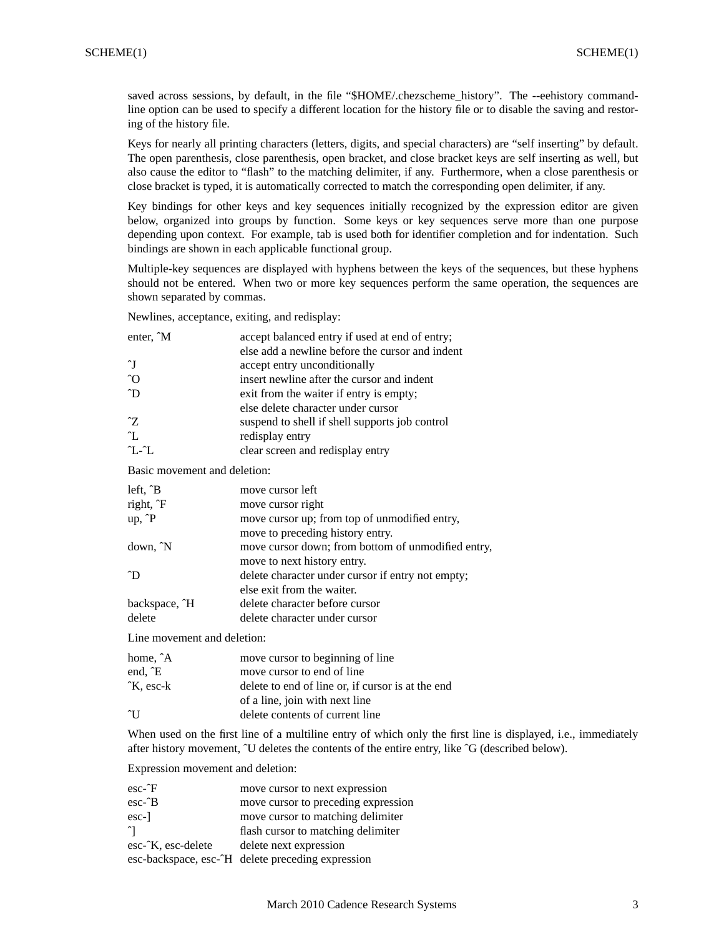saved across sessions, by default, in the file "\$HOME/.chezscheme\_history". The --eehistory commandline option can be used to specify a different location for the history file or to disable the saving and restoring of the history file.

Keys for nearly all printing characters (letters, digits, and special characters) are "self inserting" by default. The open parenthesis, close parenthesis, open bracket, and close bracket keys are self inserting as well, but also cause the editor to "flash" to the matching delimiter, if any. Furthermore, when a close parenthesis or close bracket is typed, it is automatically corrected to match the corresponding open delimiter, if any.

Key bindings for other keys and key sequences initially recognized by the expression editor are given below, organized into groups by function. Some keys or key sequences serve more than one purpose depending upon context. For example, tab is used both for identifier completion and for indentation. Such bindings are shown in each applicable functional group.

Multiple-key sequences are displayed with hyphens between the keys of the sequences, but these hyphens should not be entered. When two or more key sequences perform the same operation, the sequences are shown separated by commas.

Newlines, acceptance, exiting, and redisplay:

| enter, $\hat{M}$             | accept balanced entry if used at end of entry;<br>else add a newline before the cursor and indent |  |
|------------------------------|---------------------------------------------------------------------------------------------------|--|
| $\gamma$                     | accept entry unconditionally                                                                      |  |
| $\hat{O}$                    | insert newline after the cursor and indent                                                        |  |
| $\gamma$                     | exit from the waiter if entry is empty;                                                           |  |
|                              | else delete character under cursor                                                                |  |
| $\mathcal{Z}$                | suspend to shell if shell supports job control                                                    |  |
| $\mathcal{L}$                | redisplay entry                                                                                   |  |
| $'L$ - $\mathcal{L}$         | clear screen and redisplay entry                                                                  |  |
| Basic movement and deletion: |                                                                                                   |  |
| left, $\hat{B}$              | move cursor left                                                                                  |  |
| right, F                     | move cursor right                                                                                 |  |
| $up, \hat{P}$                | move cursor up; from top of unmodified entry,                                                     |  |
|                              | move to preceding history entry.                                                                  |  |
| down, <sup>N</sup>           | move cursor down; from bottom of unmodified entry,                                                |  |
|                              | move to next history entry.                                                                       |  |
| $\gamma$                     | delete character under cursor if entry not empty;                                                 |  |
|                              | else exit from the waiter.                                                                        |  |
| backspace, ^H                | delete character before cursor                                                                    |  |
| delete                       | delete character under cursor                                                                     |  |
| Line movement and deletion:  |                                                                                                   |  |

| home, $\hat{A}$ | move cursor to beginning of line                  |
|-----------------|---------------------------------------------------|
| end, E          | move cursor to end of line                        |
| $K$ . esc-k     | delete to end of line or, if cursor is at the end |
|                 | of a line, join with next line                    |
| $\gamma$        | delete contents of current line                   |
|                 |                                                   |

When used on the first line of a multiline entry of which only the first line is displayed, i.e., immediately after history movement, ^U deletes the contents of the entire entry, like ^G (described below).

Expression movement and deletion:

| $\text{esc-}\hat{}$ F | move cursor to next expression                            |
|-----------------------|-----------------------------------------------------------|
| $esc-2B$              | move cursor to preceding expression                       |
| esc-                  | move cursor to matching delimiter                         |
|                       | flash cursor to matching delimiter                        |
| esc- $K$ , esc-delete | delete next expression                                    |
|                       | esc-backspace, esc- $\hat{H}$ delete preceding expression |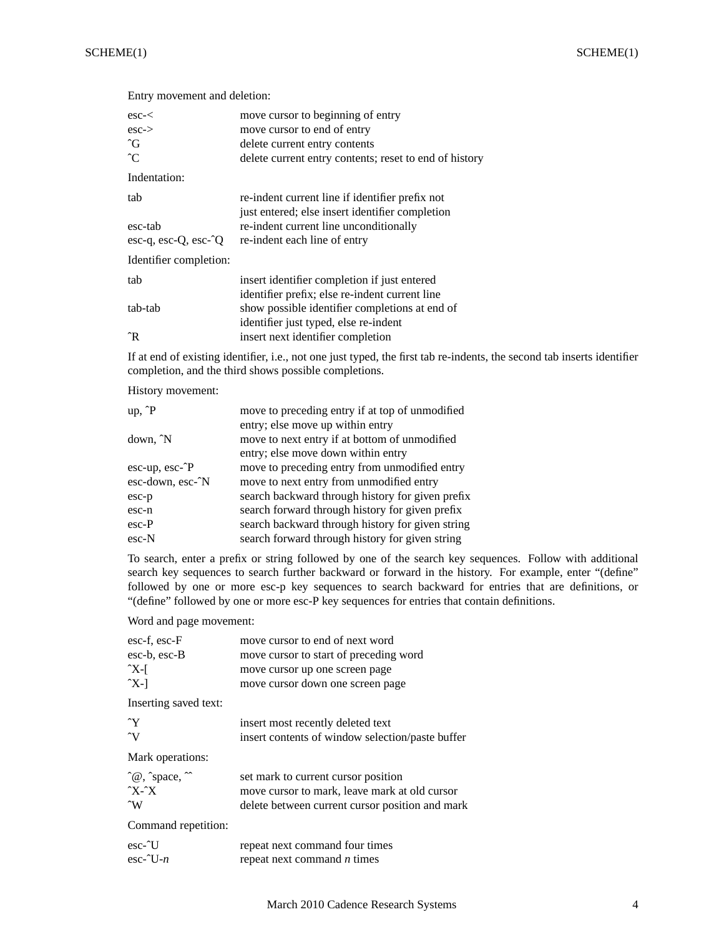| $\csc <$                       | move cursor to beginning of entry                                                                  |
|--------------------------------|----------------------------------------------------------------------------------------------------|
| $\text{esc-}$                  | move cursor to end of entry                                                                        |
| $\hat{G}$                      | delete current entry contents                                                                      |
| $\hat{C}$                      | delete current entry contents; reset to end of history                                             |
| Indentation:                   |                                                                                                    |
| tab                            | re-indent current line if identifier prefix not<br>just entered; else insert identifier completion |
| esc-tab                        | re-indent current line unconditionally                                                             |
| $\csc-q$ , $\csc-Q$ , $\csc-Q$ | re-indent each line of entry                                                                       |
| Identifier completion:         |                                                                                                    |
| tab                            | insert identifier completion if just entered                                                       |
|                                | identifier prefix; else re-indent current line                                                     |
| tab-tab                        | show possible identifier completions at end of                                                     |
|                                | identifier just typed, else re-indent                                                              |
| ^R                             | insert next identifier completion                                                                  |

If at end of existing identifier, i.e., not one just typed, the first tab re-indents, the second tab inserts identifier completion, and the third shows possible completions.

History movement:

Entry movement and deletion:

| $up, \hat{P}$    | move to preceding entry if at top of unmodified  |
|------------------|--------------------------------------------------|
|                  | entry; else move up within entry                 |
| down, N          | move to next entry if at bottom of unmodified    |
|                  | entry; else move down within entry               |
| $esc-up, esc-2P$ | move to preceding entry from unmodified entry    |
| esc-down, esc-^N | move to next entry from unmodified entry         |
| $esc-p$          | search backward through history for given prefix |
| esc-n            | search forward through history for given prefix  |
| $esc-P$          | search backward through history for given string |
| $\text{esc-N}$   | search forward through history for given string  |
|                  |                                                  |

To search, enter a prefix or string followed by one of the search key sequences. Follow with additional search key sequences to search further backward or forward in the history. For example, enter "(define" followed by one or more esc-p key sequences to search backward for entries that are definitions, or "(define" followed by one or more esc-P key sequences for entries that contain definitions.

Word and page movement:

| esc-f, esc-F                               | move cursor to end of next word                  |
|--------------------------------------------|--------------------------------------------------|
| $esc-b, esc-B$                             | move cursor to start of preceding word           |
| $\gamma X$ - $\Gamma$                      | move cursor up one screen page                   |
| $\gamma$ X-]                               | move cursor down one screen page                 |
| Inserting saved text:                      |                                                  |
| $\mathbf{Y}$                               | insert most recently deleted text                |
| $\gamma$                                   | insert contents of window selection/paste buffer |
| Mark operations:                           |                                                  |
| $^{\circ}$ @, $^{\circ}$ space, $^{\circ}$ | set mark to current cursor position              |
| $\gamma x - \gamma x$                      | move cursor to mark, leave mark at old cursor    |
| $\gamma_{\rm W}$                           | delete between current cursor position and mark  |
| Command repetition:                        |                                                  |
| $\text{esc-}^{\text{t}}$                   | repeat next command four times                   |
| $\text{esc-}^{\sim}U-n$                    | repeat next command <i>n</i> times               |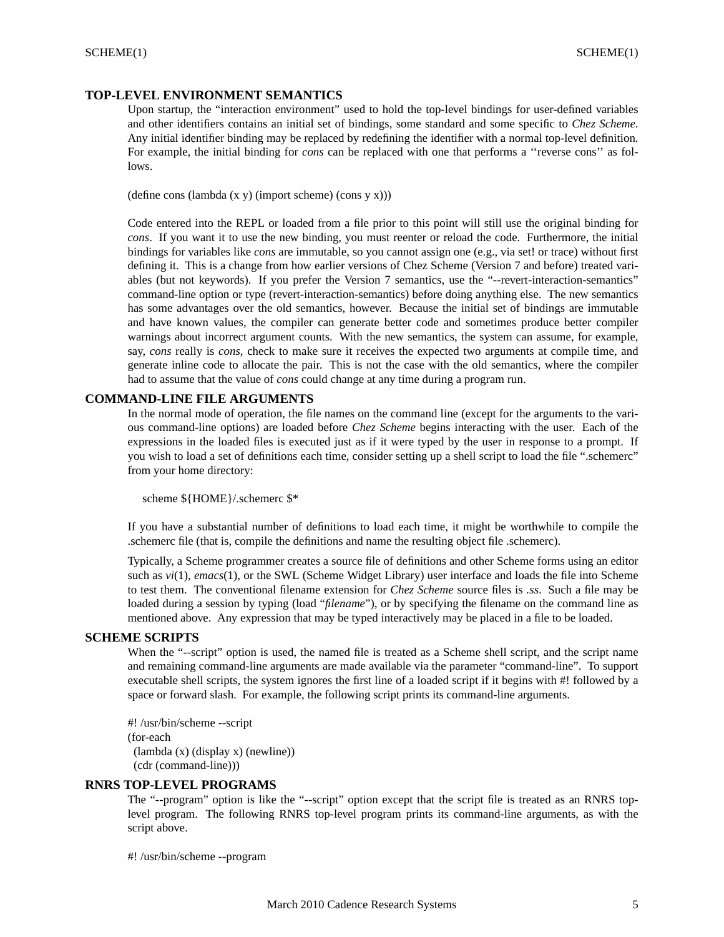## **TOP-LEVEL ENVIRONMENT SEMANTICS**

Upon startup, the "interaction environment" used to hold the top-level bindings for user-defined variables and other identifiers contains an initial set of bindings, some standard and some specific to *Chez Scheme*. Any initial identifier binding may be replaced by redefining the identifier with a normal top-level definition. For example, the initial binding for *cons* can be replaced with one that performs a "reverse cons" as follows.

(define cons (lambda (x y) (import scheme) (cons y x)))

Code entered into the REPL or loaded from a file prior to this point will still use the original binding for *cons*. If you want it to use the new binding, you must reenter or reload the code. Furthermore, the initial bindings for variables like *cons* are immutable, so you cannot assign one (e.g., via set! or trace) without first defining it. This is a change from how earlier versions of Chez Scheme (Version 7 and before) treated variables (but not keywords). If you prefer the Version 7 semantics, use the "--revert-interaction-semantics" command-line option or type (revert-interaction-semantics) before doing anything else. The new semantics has some advantages over the old semantics, however. Because the initial set of bindings are immutable and have known values, the compiler can generate better code and sometimes produce better compiler warnings about incorrect argument counts. With the new semantics, the system can assume, for example, say, *cons* really is *cons*, check to make sure it receives the expected two arguments at compile time, and generate inline code to allocate the pair. This is not the case with the old semantics, where the compiler had to assume that the value of *cons* could change at any time during a program run.

## **COMMAND-LINE FILE ARGUMENTS**

In the normal mode of operation, the file names on the command line (except for the arguments to the various command-line options) are loaded before *Chez Scheme* begins interacting with the user. Each of the expressions in the loaded files is executed just as if it were typed by the user in response to a prompt. If you wish to load a set of definitions each time, consider setting up a shell script to load the file ".schemerc" from your home directory:

scheme \${HOME}/.schemerc \$\*

If you have a substantial number of definitions to load each time, it might be worthwhile to compile the .schemerc file (that is, compile the definitions and name the resulting object file .schemerc).

Typically, a Scheme programmer creates a source file of definitions and other Scheme forms using an editor such as *vi*(1), *emacs*(1), or the SWL (Scheme Widget Library) user interface and loads the file into Scheme to test them. The conventional filename extension for *Chez Scheme* source files is *.ss*. Such a file may be loaded during a session by typing (load "*filename*"), or by specifying the filename on the command line as mentioned above. Any expression that may be typed interactively may be placed in a file to be loaded.

## **SCHEME SCRIPTS**

When the "--script" option is used, the named file is treated as a Scheme shell script, and the script name and remaining command-line arguments are made available via the parameter "command-line". To support executable shell scripts, the system ignores the first line of a loaded script if it begins with #! followed by a space or forward slash. For example, the following script prints its command-line arguments.

#! /usr/bin/scheme --script (for-each (lambda (x) (display x) (newline)) (cdr (command-line)))

### **RNRS TOP-LEVEL PROGRAMS**

The "--program" option is like the "--script" option except that the script file is treated as an RNRS toplevel program. The following RNRS top-level program prints its command-line arguments, as with the script above.

#! /usr/bin/scheme --program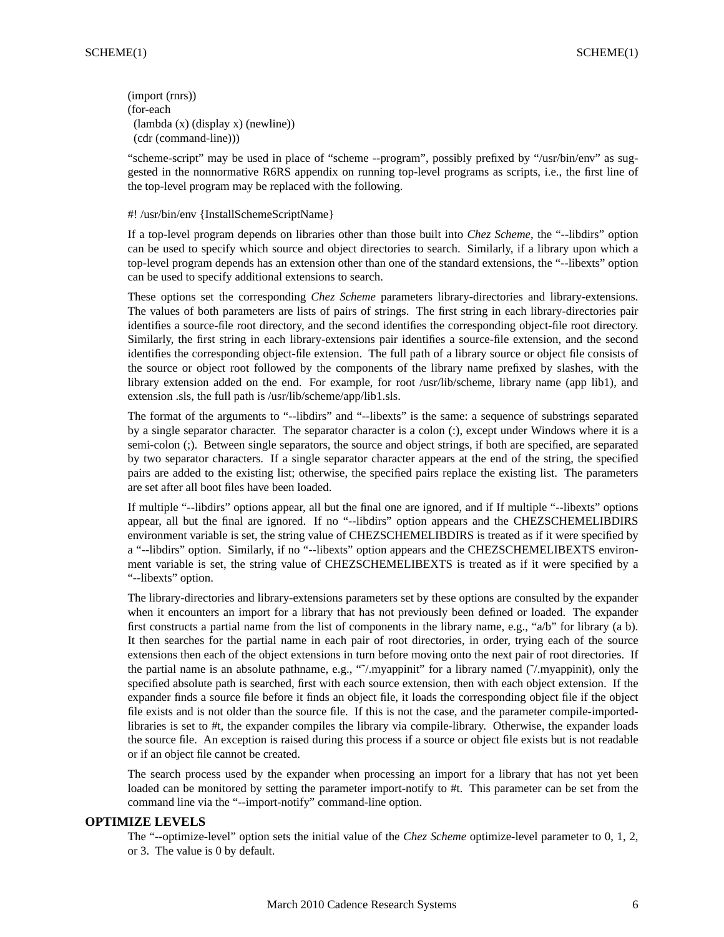(import (rnrs)) (for-each (lambda (x) (display x) (newline)) (cdr (command-line)))

"scheme-script" may be used in place of "scheme --program", possibly prefixed by "/usr/bin/env" as suggested in the nonnormative R6RS appendix on running top-level programs as scripts, i.e., the first line of the top-level program may be replaced with the following.

## #! /usr/bin/env {InstallSchemeScriptName}

If a top-level program depends on libraries other than those built into *Chez Scheme*, the "--libdirs" option can be used to specify which source and object directories to search. Similarly, if a library upon which a top-level program depends has an extension other than one of the standard extensions, the "--libexts" option can be used to specify additional extensions to search.

These options set the corresponding *Chez Scheme* parameters library-directories and library-extensions. The values of both parameters are lists of pairs of strings. The first string in each library-directories pair identifies a source-file root directory, and the second identifies the corresponding object-file root directory. Similarly, the first string in each library-extensions pair identifies a source-file extension, and the second identifies the corresponding object-file extension. The full path of a library source or object file consists of the source or object root followed by the components of the library name prefixed by slashes, with the library extension added on the end. For example, for root /usr/lib/scheme, library name (app lib1), and extension .sls, the full path is /usr/lib/scheme/app/lib1.sls.

The format of the arguments to "--libdirs" and "--libexts" is the same: a sequence of substrings separated by a single separator character. The separator character is a colon (:), except under Windows where it is a semi-colon (;). Between single separators, the source and object strings, if both are specified, are separated by two separator characters. If a single separator character appears at the end of the string, the specified pairs are added to the existing list; otherwise, the specified pairs replace the existing list. The parameters are set after all boot files have been loaded.

If multiple "--libdirs" options appear, all but the final one are ignored, and if If multiple "--libexts" options appear, all but the final are ignored. If no "--libdirs" option appears and the CHEZSCHEMELIBDIRS environment variable is set, the string value of CHEZSCHEMELIBDIRS is treated as if it were specified by a "--libdirs" option. Similarly, if no "--libexts" option appears and the CHEZSCHEMELIBEXTS environment variable is set, the string value of CHEZSCHEMELIBEXTS is treated as if it were specified by a "--libexts" option.

The library-directories and library-extensions parameters set by these options are consulted by the expander when it encounters an import for a library that has not previously been defined or loaded. The expander first constructs a partial name from the list of components in the library name, e.g., "a/b" for library (a b). It then searches for the partial name in each pair of root directories, in order, trying each of the source extensions then each of the object extensions in turn before moving onto the next pair of root directories. If the partial name is an absolute pathname, e.g., "˜/.myappinit" for a library named (˜/.myappinit), only the specified absolute path is searched, first with each source extension, then with each object extension. If the expander finds a source file before it finds an object file, it loads the corresponding object file if the object file exists and is not older than the source file. If this is not the case, and the parameter compile-importedlibraries is set to #t, the expander compiles the library via compile-library. Otherwise, the expander loads the source file. An exception is raised during this process if a source or object file exists but is not readable or if an object file cannot be created.

The search process used by the expander when processing an import for a library that has not yet been loaded can be monitored by setting the parameter import-notify to #t. This parameter can be set from the command line via the "--import-notify" command-line option.

### **OPTIMIZE LEVELS**

The "--optimize-level" option sets the initial value of the *Chez Scheme* optimize-level parameter to 0, 1, 2, or 3. The value is 0 by default.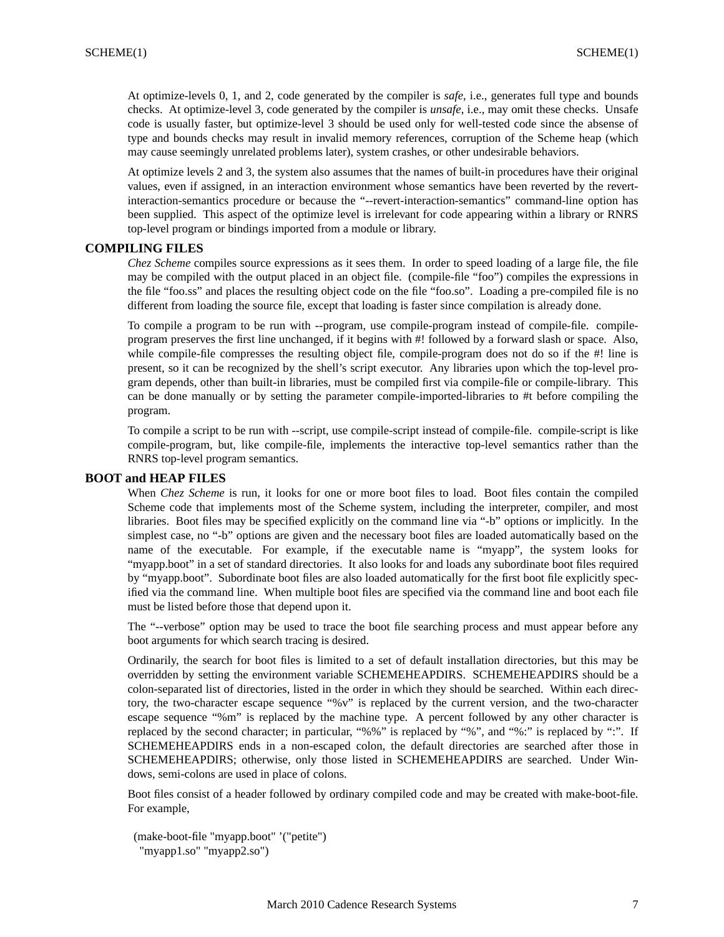At optimize-levels 0, 1, and 2, code generated by the compiler is *safe*, i.e., generates full type and bounds checks. At optimize-level 3, code generated by the compiler is *unsafe*, i.e., may omit these checks. Unsafe code is usually faster, but optimize-level 3 should be used only for well-tested code since the absense of type and bounds checks may result in invalid memory references, corruption of the Scheme heap (which may cause seemingly unrelated problems later), system crashes, or other undesirable behaviors.

At optimize levels 2 and 3, the system also assumes that the names of built-in procedures have their original values, even if assigned, in an interaction environment whose semantics have been reverted by the revertinteraction-semantics procedure or because the "--revert-interaction-semantics" command-line option has been supplied. This aspect of the optimize level is irrelevant for code appearing within a library or RNRS top-level program or bindings imported from a module or library.

## **COMPILING FILES**

*Chez Scheme* compiles source expressions as it sees them. In order to speed loading of a large file, the file may be compiled with the output placed in an object file. (compile-file "foo") compiles the expressions in the file "foo.ss" and places the resulting object code on the file "foo.so". Loading a pre-compiled file is no different from loading the source file, except that loading is faster since compilation is already done.

To compile a program to be run with --program, use compile-program instead of compile-file. compileprogram preserves the first line unchanged, if it begins with #! followed by a forward slash or space. Also, while compile-file compresses the resulting object file, compile-program does not do so if the #! line is present, so it can be recognized by the shell's script executor. Any libraries upon which the top-level program depends, other than built-in libraries, must be compiled first via compile-file or compile-library. This can be done manually or by setting the parameter compile-imported-libraries to #t before compiling the program.

To compile a script to be run with --script, use compile-script instead of compile-file. compile-script is like compile-program, but, like compile-file, implements the interactive top-level semantics rather than the RNRS top-level program semantics.

# **BOOT and HEAP FILES**

When *Chez Scheme* is run, it looks for one or more boot files to load. Boot files contain the compiled Scheme code that implements most of the Scheme system, including the interpreter, compiler, and most libraries. Boot files may be specified explicitly on the command line via "-b" options or implicitly. In the simplest case, no "-b" options are given and the necessary boot files are loaded automatically based on the name of the executable. For example, if the executable name is "myapp", the system looks for "myapp.boot" in a set of standard directories. It also looks for and loads any subordinate boot files required by "myapp.boot". Subordinate boot files are also loaded automatically for the first boot file explicitly specified via the command line. When multiple boot files are specified via the command line and boot each file must be listed before those that depend upon it.

The "--verbose" option may be used to trace the boot file searching process and must appear before any boot arguments for which search tracing is desired.

Ordinarily, the search for boot files is limited to a set of default installation directories, but this may be overridden by setting the environment variable SCHEMEHEAPDIRS. SCHEMEHEAPDIRS should be a colon-separated list of directories, listed in the order in which they should be searched. Within each directory, the two-character escape sequence "%v" is replaced by the current version, and the two-character escape sequence "%m" is replaced by the machine type. A percent followed by any other character is replaced by the second character; in particular, "%%" is replaced by "%", and "%:" is replaced by ":". If SCHEMEHEAPDIRS ends in a non-escaped colon, the default directories are searched after those in SCHEMEHEAPDIRS; otherwise, only those listed in SCHEMEHEAPDIRS are searched. Under Windows, semi-colons are used in place of colons.

Boot files consist of a header followed by ordinary compiled code and may be created with make-boot-file. For example,

(make-boot-file "myapp.boot" '("petite") "myapp1.so" "myapp2.so")